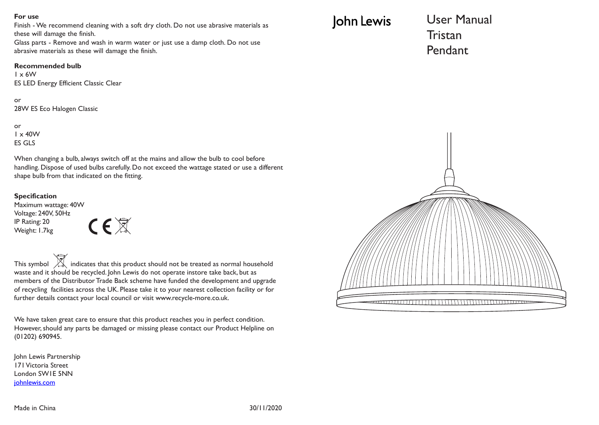#### **For use**

Finish - We recommend cleaning with a soft dry cloth. Do not use abrasive materials as these will damage the finish.

Glass parts - Remove and wash in warm water or just use a damp cloth. Do not use abrasive materials as these will damage the finish.

#### **Recommended bulb**

1 x 6W ES LED Energy Efficient Classic Clear

or 28W ES Eco Halogen Classic

or  $1 \times 40$ W ES GLS

When changing a bulb, always switch off at the mains and allow the bulb to cool before handling. Dispose of used bulbs carefully. Do not exceed the wattage stated or use a different shape bulb from that indicated on the fitting.

#### **Specification**

Maximum wattage: 40W Voltage: 240V, 50Hz IP Rating: 20 Weight: 1.7kg



This symbol  $\overrightarrow{A}$  indicates that this product should not be treated as normal household waste and it should be recycled. John Lewis do not operate instore take back, but as members of the Distributor Trade Back scheme have funded the development and upgrade of recycling facilities across the UK. Please take it to your nearest collection facility or for further details contact your local council or visit www.recycle-more.co.uk.

We have taken great care to ensure that this product reaches you in perfect condition. However, should any parts be damaged or missing please contact our Product Helpline on (01202) 690945.

John Lewis Partnership 171 Victoria Street London SW1E 5NN johnlewis.com

# John Lewis

User Manual **Tristan** Pendant